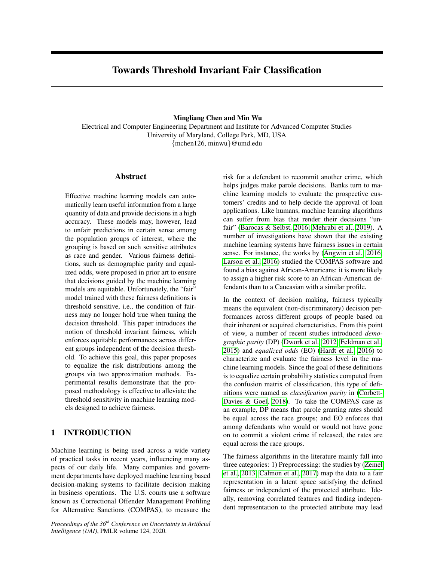# Towards Threshold Invariant Fair Classification

Mingliang Chen and Min Wu

Electrical and Computer Engineering Department and Institute for Advanced Computer Studies University of Maryland, College Park, MD, USA {mchen126, minwu}@umd.edu

## Abstract

Effective machine learning models can automatically learn useful information from a large quantity of data and provide decisions in a high accuracy. These models may, however, lead to unfair predictions in certain sense among the population groups of interest, where the grouping is based on such sensitive attributes as race and gender. Various fairness definitions, such as demographic parity and equalized odds, were proposed in prior art to ensure that decisions guided by the machine learning models are equitable. Unfortunately, the "fair" model trained with these fairness definitions is threshold sensitive, i.e., the condition of fairness may no longer hold true when tuning the decision threshold. This paper introduces the notion of threshold invariant fairness, which enforces equitable performances across different groups independent of the decision threshold. To achieve this goal, this paper proposes to equalize the risk distributions among the groups via two approximation methods. Experimental results demonstrate that the proposed methodology is effective to alleviate the threshold sensitivity in machine learning models designed to achieve fairness.

## 1 INTRODUCTION

Machine learning is being used across a wide variety of practical tasks in recent years, influencing many aspects of our daily life. Many companies and government departments have deployed machine learning based decision-making systems to facilitate decision making in business operations. The U.S. courts use a software known as Correctional Offender Management Profiling for Alternative Sanctions (COMPAS), to measure the

*Proceedings of the 36th Conference on Uncertainty in Artificial Intelligence (UAI)*, PMLR volume 124, 2020.

risk for a defendant to recommit another crime, which helps judges make parole decisions. Banks turn to machine learning models to evaluate the prospective customers' credits and to help decide the approval of loan applications. Like humans, machine learning algorithms can suffer from bias that render their decisions "unfair" [\(Barocas & Selbst, 2016;](#page-9-0) [Mehrabi et al., 2019\)](#page-9-1). A number of investigations have shown that the existing machine learning systems have fairness issues in certain sense. For instance, the works by [\(Angwin et al., 2016;](#page-9-2) [Larson et al., 2016\)](#page-9-3) studied the COMPAS software and found a bias against African-Americans: it is more likely to assign a higher risk score to an African-American defendants than to a Caucasian with a similar profile.

In the context of decision making, fairness typically means the equivalent (non-discriminatory) decision performances across different groups of people based on their inherent or acquired characteristics. From this point of view, a number of recent studies introduced *demographic parity* (DP) [\(Dwork et al., 2012;](#page-9-4) [Feldman et al.,](#page-9-5) [2015\)](#page-9-5) and *equalized odds* (EO) [\(Hardt et al., 2016\)](#page-9-6) to characterize and evaluate the fairness level in the machine learning models. Since the goal of these definitions is to equalize certain probability statistics computed from the confusion matrix of classification, this type of definitions were named as *classification parity* in [\(Corbett-](#page-9-7)[Davies & Goel, 2018\)](#page-9-7). To take the COMPAS case as an example, DP means that parole granting rates should be equal across the race groups; and EO enforces that among defendants who would or would not have gone on to commit a violent crime if released, the rates are equal across the race groups.

The fairness algorithms in the literature mainly fall into three categories: 1) Preprocessing: the studies by [\(Zemel](#page-9-8) [et al., 2013;](#page-9-8) [Calmon et al., 2017\)](#page-9-9) map the data to a fair representation in a latent space satisfying the defined fairness or independent of the protected attribute. Ideally, removing correlated features and finding independent representation to the protected attribute may lead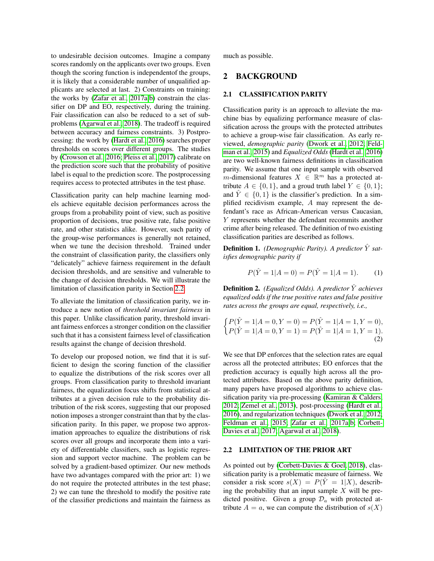to undesirable decision outcomes. Imagine a company scores randomly on the applicants over two groups. Even though the scoring function is independentof the groups, it is likely that a considerable number of unqualified applicants are selected at last. 2) Constraints on training: the works by [\(Zafar et al., 2017a,](#page-9-10)[b\)](#page-9-11) constrain the classifier on DP and EO, respectively, during the training. Fair classification can also be reduced to a set of subproblems [\(Agarwal et al., 2018\)](#page-8-0). The tradeoff is required between accuracy and fairness constraints. 3) Postprocessing: the work by [\(Hardt et al., 2016\)](#page-9-6) searches proper thresholds on scores over different groups. The studies by [\(Crowson et al., 2016;](#page-9-12) [Pleiss et al., 2017\)](#page-9-13) calibrate on the prediction score such that the probability of positive label is equal to the prediction score. The postprocessing requires access to protected attributes in the test phase.

Classification parity can help machine learning models achieve equitable decision performances across the groups from a probability point of view, such as positive proportion of decisions, true positive rate, false positive rate, and other statistics alike. However, such parity of the group-wise performances is generally not retained, when we tune the decision threshold. Trained under the constraint of classification parity, the classifiers only "delicately" achieve fairness requirement in the default decision thresholds, and are sensitive and vulnerable to the change of decision thresholds. We will illustrate the limitation of classification parity in Section [2.2.](#page-1-0)

To alleviate the limitation of classification parity, we introduce a new notion of *threshold invariant fairness* in this paper. Unlike classification parity, threshold invariant fairness enforces a stronger condition on the classifier such that it has a consistent fairness level of classification results against the change of decision threshold.

To develop our proposed notion, we find that it is sufficient to design the scoring function of the classifier to equalize the distributions of the risk scores over all groups. From classification parity to threshold invariant fairness, the equalization focus shifts from statistical attributes at a given decision rule to the probability distribution of the risk scores, suggesting that our proposed notion imposes a stronger constraint than that by the classification parity. In this paper, we propose two approximation approaches to equalize the distributions of risk scores over all groups and incorporate them into a variety of differentiable classifiers, such as logistic regression and support vector machine. The problem can be solved by a gradient-based optimizer. Our new methods have two advantages compared with the prior art: 1) we do not require the protected attributes in the test phase; 2) we can tune the threshold to modify the positive rate of the classifier predictions and maintain the fairness as much as possible.

## 2 BACKGROUND

### <span id="page-1-1"></span>2.1 CLASSIFICATION PARITY

Classification parity is an approach to alleviate the machine bias by equalizing performance measure of classification across the groups with the protected attributes to achieve a group-wise fair classification. As early reviewed, *demographic parity* [\(Dwork et al., 2012;](#page-9-4) [Feld](#page-9-5)[man et al., 2015\)](#page-9-5) and *Equalized Odds* [\(Hardt et al., 2016\)](#page-9-6) are two well-known fairness definitions in classification parity. We assume that one input sample with observed m-dimensional features  $X \in \mathbb{R}^m$  has a protected attribute  $A \in \{0, 1\}$ , and a groud truth label  $Y \in \{0, 1\}$ ; and  $\hat{Y} \in \{0, 1\}$  is the classifier's prediction. In a simplified recidivism example, A may represent the defendant's race as African-American versus Caucasian, Y represents whether the defendant recommits another crime after being released. The definition of two existing classification parities are described as follows.

**Definition 1.** *(Demographic Parity). A predictor*  $\hat{Y}$  *satisfies demographic parity if*

$$
P(\hat{Y} = 1 | A = 0) = P(\hat{Y} = 1 | A = 1).
$$
 (1)

**Definition 2.** *(Equalized Odds). A predictor*  $\hat{Y}$  *achieves equalized odds if the true positive rates and false positive rates across the groups are equal, respectively, i.e.,*

$$
\begin{cases}\nP(\hat{Y} = 1 | A = 0, Y = 0) = P(\hat{Y} = 1 | A = 1, Y = 0), \\
P(\hat{Y} = 1 | A = 0, Y = 1) = P(\hat{Y} = 1 | A = 1, Y = 1).\n\end{cases}
$$
\n(2)

We see that DP enforces that the selection rates are equal across all the protected attributes; EO enforces that the prediction accuracy is equally high across all the protected attributes. Based on the above parity definition, many papers have proposed algorithms to achieve classification parity via pre-processing [\(Kamiran & Calders,](#page-9-14) [2012;](#page-9-14) [Zemel et al., 2013\)](#page-9-8), post-processing [\(Hardt et al.,](#page-9-6) [2016\)](#page-9-6), and regularization techniques [\(Dwork et al., 2012;](#page-9-4) [Feldman et al., 2015;](#page-9-5) [Zafar et al., 2017a,](#page-9-10)[b;](#page-9-11) [Corbett-](#page-9-15)[Davies et al., 2017;](#page-9-15) [Agarwal et al., 2018\)](#page-8-0).

### <span id="page-1-0"></span>2.2 LIMITATION OF THE PRIOR ART

As pointed out by [\(Corbett-Davies & Goel, 2018\)](#page-9-7), classification parity is a problematic measure of fairness. We consider a risk score  $s(X) = P(\hat{Y} = 1|X)$ , describing the probability that an input sample  $X$  will be predicted positive. Given a group  $\mathcal{D}_a$  with protected attribute  $A = a$ , we can compute the distribution of  $s(X)$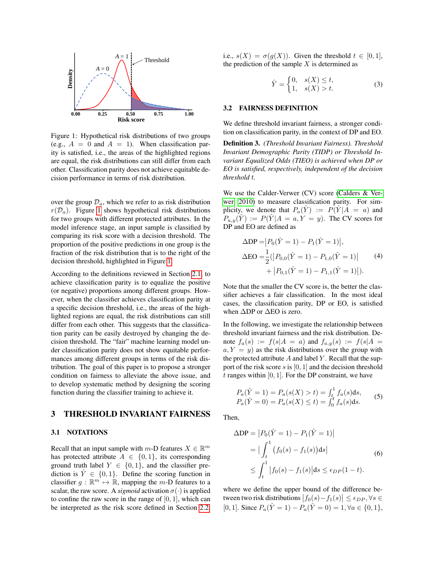

<span id="page-2-0"></span>Figure 1: Hypothetical risk distributions of two groups (e.g.,  $A = 0$  and  $A = 1$ ). When classification parity is satisfied, i.e., the areas of the highlighted regions are equal, the risk distributions can still differ from each other. Classification parity does not achieve equitable decision performance in terms of risk distribution.

over the group  $\mathcal{D}_a$ , which we refer to as risk distribution  $r(\mathcal{D}_a)$ . Figure [1](#page-2-0) shows hypothetical risk distributions for two groups with different protected attributes. In the model inference stage, an input sample is classified by comparing its risk score with a decision threshold. The proportion of the positive predictions in one group is the fraction of the risk distribution that is to the right of the decision threshold, highlighted in Figure [1.](#page-2-0)

According to the definitions reviewed in Section [2.1,](#page-1-1) to achieve classification parity is to equalize the positive (or negative) proportions among different groups. However, when the classifier achieves classification parity at a specific decision threshold, i.e., the areas of the highlighted regions are equal, the risk distributions can still differ from each other. This suggests that the classification parity can be easily destroyed by changing the decision threshold. The "fair" machine learning model under classification parity does not show equitable performances among different groups in terms of the risk distribution. The goal of this paper is to propose a stronger condition on fairness to alleviate the above issue, and to develop systematic method by designing the scoring function during the classifier training to achieve it.

## 3 THRESHOLD INVARIANT FAIRNESS

## 3.1 NOTATIONS

Recall that an input sample with  $m$ -D features  $X \in \mathbb{R}^m$ has protected attribute  $A \in \{0, 1\}$ , its corresponding ground truth label  $Y \in \{0, 1\}$ , and the classifier prediction is  $\hat{Y} \in \{0, 1\}$ . Define the scoring function in classifier  $g : \mathbb{R}^m \mapsto \mathbb{R}$ , mapping the m-D features to a scalar, the raw score. A *sigmoid* activation  $\sigma(\cdot)$  is applied to confine the raw score in the range of  $[0, 1]$ , which can be interpreted as the risk score defined in Section [2.2,](#page-1-0) i.e.,  $s(X) = \sigma(q(X))$ . Given the threshold  $t \in [0, 1]$ , the prediction of the sample  $X$  is determined as

$$
\hat{Y} = \begin{cases} 0, & s(X) \le t, \\ 1, & s(X) > t. \end{cases}
$$
 (3)

#### 3.2 FAIRNESS DEFINITION

We define threshold invariant fairness, a stronger condition on classification parity, in the context of DP and EO.

Definition 3. *(Threshold Invariant Fairness). Threshold Invariant Demographic Parity (TIDP) or Threshold Invariant Equalized Odds (TIEO) is achieved when DP or EO is satisfied, respectively, independent of the decision threshold* t*.*

We use the Calder-Verwer (CV) score [\(Calders & Ver](#page-9-16)[wer, 2010\)](#page-9-16) to measure classification parity. For simplicity, we denote that  $P_a(\hat{Y}) := P(\hat{Y} | A = a)$  and  $P_{a,y}(\hat{Y}) := P(\hat{Y} | A = a, Y = y)$ . The CV scores for DP and EO are defined as

$$
\Delta DP = |P_0(\hat{Y} = 1) - P_1(\hat{Y} = 1)|,
$$
  
\n
$$
\Delta EO = \frac{1}{2} (|P_{0,0}(\hat{Y} = 1) - P_{1,0}(\hat{Y} = 1)| + |P_{0,1}(\hat{Y} = 1) - P_{1,1}(\hat{Y} = 1)|).
$$
\n(4)

Note that the smaller the CV score is, the better the classifier achieves a fair classification. In the most ideal cases, the classification parity, DP or EO, is satisfied when  $\Delta$ DP or  $\Delta$ EO is zero.

In the following, we investigate the relationship between threshold invariant fairness and the risk distribution. Denote  $f_a(s) := f(s|A = a)$  and  $f_{a,y}(s) := f(s|A = a)$  $a, Y = y$  as the risk distributions over the group with the protected attribute  $A$  and label  $Y$ . Recall that the support of the risk score s is  $[0, 1]$  and the decision threshold t ranges within  $[0, 1]$ . For the DP constraint, we have

$$
P_a(\hat{Y} = 1) = P_a(s(X) > t) = \int_t^1 f_a(s)ds,
$$
  
\n
$$
P_a(\hat{Y} = 0) = P_a(s(X) \le t) = \int_0^t f_a(s)ds.
$$
 (5)

<span id="page-2-1"></span>Then,

$$
\Delta DP = |P_0(\hat{Y} = 1) - P_1(\hat{Y} = 1)|
$$
  
= 
$$
|\int_t^1 (f_0(s) - f_1(s))ds|
$$
  

$$
\leq \int_t^1 |f_0(s) - f_1(s)|ds \leq \epsilon_{DP}(1 - t).
$$
 (6)

where we define the upper bound of the difference between two risk distributions  $|f_0(s) - f_1(s)| \le \epsilon_{DP}$ ,  $\forall s \in$ [0, 1]. Since  $P_a(\hat{Y} = 1) - P_a(\hat{Y} = 0) = 1, \forall a \in \{0, 1\},\$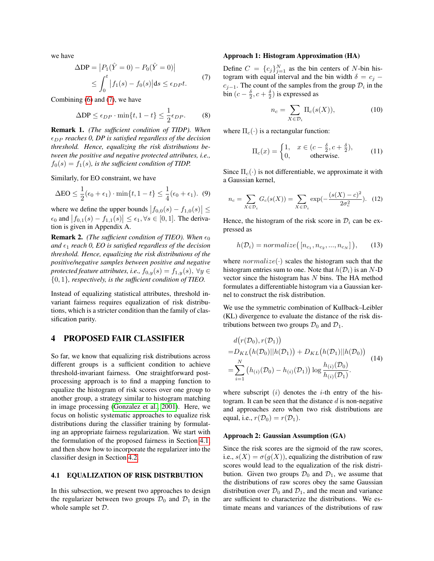we have

<span id="page-3-0"></span>
$$
\Delta DP = |P_1(\hat{Y} = 0) - P_0(\hat{Y} = 0)|
$$
  
\n
$$
\leq \int_0^t |f_1(s) - f_0(s)| ds \leq \epsilon_{DP} t.
$$
 (7)

Combining [\(6\)](#page-2-1) and [\(7\)](#page-3-0), we have

$$
\Delta \text{DP} \le \epsilon_{DP} \cdot \min\{t, 1 - t\} \le \frac{1}{2} \epsilon_{DP}. \tag{8}
$$

Remark 1. *(The sufficient condition of TIDP). When*  $\epsilon_{DP}$  *reaches 0, DP is satisfied regardless of the decision threshold. Hence, equalizing the risk distributions between the positive and negative protected attributes, i.e.,*  $f_0(s) = f_1(s)$ *, is the sufficient condition of TIDP.* 

Similarly, for EO constraint, we have

$$
\Delta \text{EO} \le \frac{1}{2}(\epsilon_0 + \epsilon_1) \cdot \min\{t, 1 - t\} \le \frac{1}{4}(\epsilon_0 + \epsilon_1). \tag{9}
$$

where we define the upper bounds  $|f_{0,0}(s) - f_{1,0}(s)| \le$  $\epsilon_0$  and  $|f_{0,1}(s) - f_{1,1}(s)| \leq \epsilon_1, \forall s \in [0,1]$ . The derivation is given in Appendix A.

**Remark 2.** *(The sufficient condition of TIEO). When*  $\epsilon_0$ and  $\epsilon_1$  *reach 0, EO is satisfied regardless of the decision threshold. Hence, equalizing the risk distributions of the positive/negative samples between positive and negative protected feature attributes, i.e.,*  $f_{0,y}(s) = f_{1,y}(s)$ ,  $\forall y \in$ {0, 1}*, respectively, is the sufficient condition of TIEO.*

Instead of equalizing statistical attributes, threshold invariant fairness requires equalization of risk distributions, which is a stricter condition than the family of classification parity.

## 4 PROPOSED FAIR CLASSIFIER

So far, we know that equalizing risk distributions across different groups is a sufficient condition to achieve threshold-invariant fairness. One straightforward postprocessing approach is to find a mapping function to equalize the histogram of risk scores over one group to another group, a strategy similar to histogram matching in image processing [\(Gonzalez et al., 2001\)](#page-9-17). Here, we focus on holistic systematic approaches to equalize risk distributions during the classifier training by formulating an appropriate fairness regularization. We start with the formulation of the proposed fairness in Section [4.1,](#page-3-1) and then show how to incorporate the regularizer into the classifier design in Section [4.2.](#page-4-0)

## <span id="page-3-1"></span>4.1 EQUALIZATION OF RISK DISTRBUTION

In this subsection, we present two approaches to design the regularizer between two groups  $\mathcal{D}_0$  and  $\mathcal{D}_1$  in the whole sample set D.

#### Approach 1: Histogram Approximation (HA)

Define  $C = \{c_j\}_{j=1}^N$  as the bin centers of N-bin histogram with equal interval and the bin width  $\delta = c_j$  $c_{j-1}$ . The count of the samples from the group  $\mathcal{D}_i$  in the bin  $(c - \frac{\delta}{2}, c + \frac{\delta}{2})$  is expressed as

$$
n_c = \sum_{X \in \mathcal{D}_i} \Pi_c(s(X)),\tag{10}
$$

where  $\Pi_c(\cdot)$  is a rectangular function:

<span id="page-3-3"></span>
$$
\Pi_c(x) = \begin{cases} 1, & x \in (c - \frac{\delta}{2}, c + \frac{\delta}{2}), \\ 0, & \text{otherwise.} \end{cases}
$$
(11)

<span id="page-3-4"></span>Since  $\Pi_c(\cdot)$  is not differentiable, we approximate it with a Gaussian kernel,

$$
n_c = \sum_{X \in \mathcal{D}_i} G_c(s(X)) = \sum_{X \in \mathcal{D}_i} \exp(-\frac{(s(X) - c)^2}{2\sigma_c^2}). \tag{12}
$$

Hence, the histogram of the risk score in  $\mathcal{D}_i$  can be expressed as

$$
h(\mathcal{D}_i) = normalize\big(\big[n_{c_1}, n_{c_2}, ..., n_{c_N}\big]\big),\qquad(13)
$$

where  $normalize(\cdot)$  scales the histogram such that the histogram entries sum to one. Note that  $h(\mathcal{D}_i)$  is an N-D vector since the histogram has  $N$  bins. The HA method formulates a differentiable histogram via a Gaussian kernel to construct the risk distribution.

We use the symmetric combination of Kullback–Leibler (KL) divergence to evaluate the distance of the risk distributions between two groups  $\mathcal{D}_0$  and  $\mathcal{D}_1$ .

<span id="page-3-2"></span>
$$
d(r(\mathcal{D}_0), r(\mathcal{D}_1))
$$
  
= $D_{KL}(h(\mathcal{D}_0)||h(\mathcal{D}_1)) + D_{KL}(h(\mathcal{D}_1)||h(\mathcal{D}_0))$   
=
$$
\sum_{i=1}^{N} (h_{(i)}(\mathcal{D}_0) - h_{(i)}(\mathcal{D}_1)) \log \frac{h_{(i)}(\mathcal{D}_0)}{h_{(i)}(\mathcal{D}_1)}.
$$
 (14)

where subscript  $(i)$  denotes the *i*-th entry of the histogram. It can be seen that the distance  $d$  is non-negative and approaches zero when two risk distributions are equal, i.e.,  $r(\mathcal{D}_0) = r(\mathcal{D}_1)$ .

### Approach 2: Gaussian Assumption (GA)

Since the risk scores are the sigmoid of the raw scores, i.e.,  $s(X) = \sigma(g(X))$ , equalizing the distribution of raw scores would lead to the equalization of the risk distribution. Given two groups  $\mathcal{D}_0$  and  $\mathcal{D}_1$ , we assume that the distributions of raw scores obey the same Gaussian distribution over  $\mathcal{D}_0$  and  $\mathcal{D}_1$ , and the mean and variance are sufficient to characterize the distributions. We estimate means and variances of the distributions of raw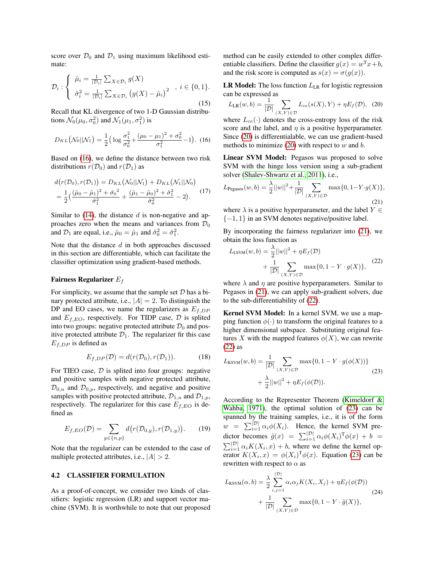score over  $\mathcal{D}_0$  and  $\mathcal{D}_1$  using maximum likelihood estimate:

$$
\mathcal{D}_{i}: \left\{ \begin{array}{l} \hat{\mu}_{i} = \frac{1}{|\mathcal{D}_{i}|} \sum_{X \in \mathcal{D}_{i}} g(X) \\ \hat{\sigma}_{i}^{2} = \frac{1}{|\mathcal{D}_{i}|} \sum_{X \in \mathcal{D}_{i}} \left( g(X) - \hat{\mu}_{i} \right)^{2} \end{array}, i \in \{0, 1\}.
$$
\n
$$
(15)
$$

Recall that KL divergence of two 1-D Gaussian distributions  $\mathcal{N}_0(\mu_0, \sigma_0^2)$  and  $\mathcal{N}_1(\mu_1, \sigma_1^2)$  is

$$
D_{KL}(\mathcal{N}_0||\mathcal{N}_1) = \frac{1}{2} \Big( \log \frac{\sigma_1^2}{\sigma_0^2} + \frac{(\mu_0 - \mu_1)^2 + \sigma_0^2}{\sigma_1^2} - 1 \Big). \tag{16}
$$

Based on [\(16\)](#page-4-1), we define the distance between two risk distributions  $r(\mathcal{D}_0)$  and  $r(\mathcal{D}_1)$  as

$$
d(r(\mathcal{D}_0), r(\mathcal{D}_1)) = D_{KL}(\mathcal{N}_0||\mathcal{N}_1) + D_{KL}(\mathcal{N}_1||\mathcal{N}_0)
$$
  
=  $\frac{1}{2} \left( \frac{(\hat{\mu}_0 - \hat{\mu}_1)^2 + \hat{\sigma}_0^2}{\hat{\sigma}_1^2} + \frac{(\hat{\mu}_1 - \hat{\mu}_0)^2 + \hat{\sigma}_1^2}{\hat{\sigma}_0^2} - 2 \right).$  (17)

Similar to  $(14)$ , the distance d is non-negative and approaches zero when the means and variances from  $\mathcal{D}_0$ and  $\mathcal{D}_1$  are equal, i.e.,  $\hat{\mu}_0 = \hat{\mu}_1$  and  $\hat{\sigma}_0^2 = \hat{\sigma}_1^2$ .

Note that the distance  $d$  in both approaches discussed in this section are differentiable, which can facilitate the classifier optimization using gradient-based methods.

#### Fairness Regularizer  $E_f$

For simplicity, we assume that the sample set  $D$  has a binary protected attribute, i.e.,  $|A| = 2$ . To distinguish the DP and EO cases, we name the regularizers as  $E_{f,DP}$ and  $E_{f,EO}$ , respectively. For TIDP case,  $D$  is splited into two groups: negative protected attribute  $\mathcal{D}_0$  and positive protected attribute  $\mathcal{D}_1$ . The regularizer fir this case  $E_{f,DP}$  is defined as

$$
E_{f,DP}(\mathcal{D}) = d(r(\mathcal{D}_0), r(\mathcal{D}_1)).
$$
 (18)

For TIEO case,  $D$  is splited into four groups: negative and positive samples with negative protected attribute,  $\mathcal{D}_{0,n}$  and  $\mathcal{D}_{0,p}$ , respectively, and negative and positive samples with positive protected attribute,  $\mathcal{D}_{1,n}$  and  $\mathcal{D}_{1,p}$ , respectively. The regularizer for this case  $E_{f,EO}$  is defined as

$$
E_{f,EO}(\mathcal{D}) = \sum_{y \in \{n, p\}} d(r(\mathcal{D}_{0,y}), r(\mathcal{D}_{1,y})). \tag{19}
$$

Note that the regularizer can be extended to the case of multiple protected attributes, i.e.,  $|A| > 2$ .

### <span id="page-4-0"></span>4.2 CLASSIFIER FORMULATION

As a proof-of-concept, we consider two kinds of classifiers: logistic regression (LR) and support vector machine (SVM). It is worthwhile to note that our proposed method can be easily extended to other complex differentiable classifiers. Define the classifier  $g(x) = w^{T}x + b$ , and the risk score is computed as  $s(x) = \sigma(g(x))$ .

**LR Model:** The loss function  $L_{LR}$  for logistic regression can be expressed as

<span id="page-4-2"></span>
$$
L_{LR}(w, b) = \frac{1}{|\mathcal{D}|} \sum_{(X,Y)\in\mathcal{D}} L_{ce}(s(X), Y) + \eta E_f(\mathcal{D}), \tag{20}
$$

<span id="page-4-1"></span>where  $L_{ce}(\cdot)$  denotes the cross-entropy loss of the risk score and the label, and  $\eta$  is a positive hyperparameter. Since [\(20\)](#page-4-2) is differentialable, we can use gradient-based methods to minimize  $(20)$  with respect to w and b.

Linear SVM Model: Pegasos was proposed to solve SVM with the hinge loss version using a sub-gradient solver [\(Shalev-Shwartz et al., 2011\)](#page-9-18), i.e.,

<span id="page-4-3"></span>
$$
L_{\text{Pegasos}}(w, b) = \frac{\lambda}{2} ||w||^2 + \frac{1}{|\mathcal{D}|} \sum_{(X, Y) \in \mathcal{D}} \max\{0, 1 - Y \cdot g(X)\},\tag{21}
$$

where  $\lambda$  is a positive hyperparameter, and the label  $Y \in$  $\{-1, 1\}$  in an SVM denotes negative/positive label.

By incorporating the fairness regularizer into [\(21\)](#page-4-3), we obtain the loss function as

<span id="page-4-4"></span>
$$
L_{\text{LSVM}}(w, b) = \frac{\lambda}{2} ||w||^2 + \eta E_f(\mathcal{D})
$$
  
+ 
$$
\frac{1}{|\mathcal{D}|} \sum_{(X, Y) \in \mathcal{D}} \max\{0, 1 - Y \cdot g(X)\},
$$
(22)

where  $\lambda$  and  $\eta$  are positive hyperparameters. Similar to Pegasos in [\(21\)](#page-4-3), we can apply sub-gradient solvers, due to the sub-differentiability of [\(22\)](#page-4-4).

Kernel SVM Model: In a kernel SVM, we use a mapping function  $\phi(\cdot)$  to transform the original features to a higher dimensional subspace. Substituting original features X with the mapped features  $\phi(X)$ , we can rewrite [\(22\)](#page-4-4) as

<span id="page-4-5"></span>
$$
L_{\text{KSYM}}(w, b) = \frac{1}{|\mathcal{D}|} \sum_{(X, Y) \in \mathcal{D}} \max\{0, 1 - Y \cdot g(\phi(X))\} + \frac{\lambda}{2} ||w||^2 + \eta E_f(\phi(\mathcal{D})).
$$
\n(23)

According to the Representer Theorem [\(Kimeldorf &](#page-9-19) [Wahba, 1971\)](#page-9-19), the optimal solution of [\(23\)](#page-4-5) can be spanned by the training samples, i.e., it is of the form  $w = \sum_{i=1}^{\mathcal{|D|}} \alpha_i \phi(X_i)$ . Hence, the kernel SVM predictor becomes  $\tilde{g}(x) = \sum_{i=1}^{|\mathcal{D}|} \alpha_i \phi(X_i)^T \phi(x) + b =$  $\sum_{i=1}^{\lvert \mathcal{D} \rvert} \alpha_i K(X_i, x) + b$ , where we define the kernel operator  $K(X_i, x) = \phi(X_i)^T \phi(x)$ . Equation [\(23\)](#page-4-5) can be rewritten with respect to  $\alpha$  as

<span id="page-4-6"></span>
$$
L_{\text{KSYM}}(\alpha, b) = \frac{\lambda}{2} \sum_{i,j=1}^{|\mathcal{D}|} \alpha_i \alpha_j K(X_i, X_j) + \eta E_f(\phi(\mathcal{D})) + \frac{1}{|\mathcal{D}|} \sum_{(X, Y) \in \mathcal{D}} \max\{0, 1 - Y \cdot \tilde{g}(X)\},
$$
\n(24)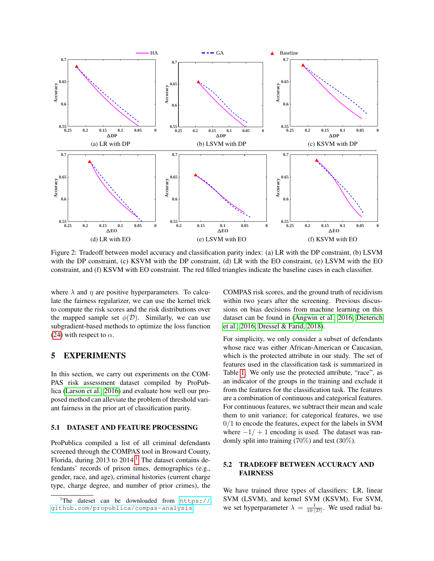

<span id="page-5-1"></span>Figure 2: Tradeoff between model accuracy and classification parity index: (a) LR with the DP constraint, (b) LSVM with the DP constraint, (c) KSVM with the DP constraint, (d) LR with the EO constraint, (e) LSVM with the EO constraint, and (f) KSVM with EO constraint. The red filled triangles indicate the baseline cases in each classifier.

where  $\lambda$  and  $\eta$  are positive hyperparameters. To calculate the fairness regularizer, we can use the kernel trick to compute the risk scores and the risk distributions over the mapped sample set  $\phi(\mathcal{D})$ . Similarly, we can use subgradient-based methods to optimize the loss function [\(24\)](#page-4-6) with respect to  $\alpha$ .

## 5 EXPERIMENTS

In this section, we carry out experiments on the COM-PAS risk assessment dataset compiled by ProPublica [\(Larson et al., 2016\)](#page-9-3) and evaluate how well our proposed method can alleviate the problem of threshold variant fairness in the prior art of classification parity.

### 5.1 DATASET AND FEATURE PROCESSING

ProPublica compiled a list of all criminal defendants screened through the COMPAS tool in Broward County, Florida, during  $2013$  $2013$  $2013$  to  $2014<sup>1</sup>$ . The dataset contains defendants' records of prison times, demographics (e.g., gender, race, and age), criminal histories (current charge type, charge degree, and number of prior crimes), the COMPAS risk scores, and the ground truth of recidivism within two years after the screening. Previous discussions on bias decisions from machine learning on this dataset can be found in [\(Angwin et al., 2016;](#page-9-2) [Dieterich](#page-9-20) [et al., 2016;](#page-9-20) [Dressel & Farid, 2018\)](#page-9-21).

For simplicity, we only consider a subset of defendants whose race was either African-American or Caucasian, which is the protected attribute in our study. The set of features used in the classification task is summarized in Table [1.](#page-6-0) We only use the protected attribute, "race", as an indicator of the groups in the training and exclude it from the features for the classification task. The features are a combination of continuous and categorical features. For continuous features, we subtract their mean and scale them to unit variance; for categorical features, we use  $0/1$  to encode the features, expect for the labels in SVM where  $-1/ + 1$  encoding is used. The dataset was randomly split into training (70%) and test (30%).

## 5.2 TRADEOFF BETWEEN ACCURACY AND FAIRNESS

We have trained three types of classifiers: LR, linear SVM (LSVM), and kernel SVM (KSVM). For SVM, we set hyperparameter  $\lambda = \frac{1}{10 \cdot |\mathcal{D}|}$ . We used radial ba-

<span id="page-5-0"></span>The dateset can be downloaded from  $https://r/2)$  $https://r/2)$ [github.com/propublica/compas-analysis](https://github.com/propublica/compas-analysis).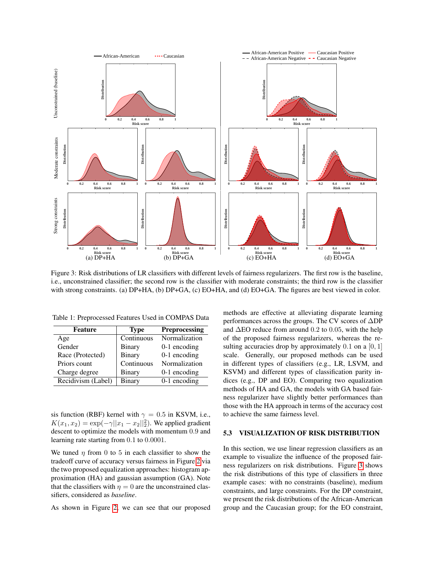

<span id="page-6-1"></span>Figure 3: Risk distributions of LR classifiers with different levels of fairness regularizers. The first row is the baseline, i.e., unconstrained classifier; the second row is the classifier with moderate constraints; the third row is the classifier with strong constraints. (a) DP+HA, (b) DP+GA, (c) EO+HA, and (d) EO+GA. The figures are best viewed in color.

| Feature            | <b>Preprocessing</b><br><b>Type</b> |                |
|--------------------|-------------------------------------|----------------|
| Age                | Continuous                          | Normalization  |
| Gender             | Binary                              | $0-1$ encoding |
| Race (Protected)   | Binary                              | $0-1$ encoding |
| Priors count       | Continuous                          | Normalization  |
| Charge degree      | Binary                              | $0-1$ encoding |
| Recidivism (Label) | Binary                              | $0-1$ encoding |

<span id="page-6-0"></span>Table 1: Preprocessed Features Used in COMPAS Data

sis function (RBF) kernel with  $\gamma = 0.5$  in KSVM, i.e.,  $K(x_1, x_2) = \exp(-\gamma ||x_1 - x_2||_2^2)$ . We applied gradient descent to optimize the models with momentum 0.9 and learning rate starting from 0.1 to 0.0001.

We tuned  $\eta$  from 0 to 5 in each classifier to show the tradeoff curve of accuracy versus fairness in Figure [2](#page-5-1) via the two proposed equalization approaches: histogram approximation (HA) and gaussian assumption (GA). Note that the classifiers with  $\eta = 0$  are the unconstrained classifiers, considered as *baseline*.

As shown in Figure [2,](#page-5-1) we can see that our proposed

methods are effective at alleviating disparate learning performances across the groups. The CV scores of ∆DP and ∆EO reduce from around 0.2 to 0.05, with the help of the proposed fairness regularizers, whereas the resulting accuracies drop by approximately  $0.1$  on a  $[0, 1]$ scale. Generally, our proposed methods can be used in different types of classifiers (e.g., LR, LSVM, and KSVM) and different types of classification parity indices (e.g., DP and EO). Comparing two equalization methods of HA and GA, the models with GA based fairness regularizer have slightly better performances than those with the HA approach in terms of the accuracy cost to achieve the same fairness level.

### 5.3 VISUALIZATION OF RISK DISTRIBUTION

In this section, we use linear regression classifiers as an example to visualize the influence of the proposed fairness regularizers on risk distributions. Figure [3](#page-6-1) shows the risk distributions of this type of classifiers in three example cases: with no constraints (baseline), medium constraints, and large constraints. For the DP constraint, we present the risk distributions of the African-American group and the Caucasian group; for the EO constraint,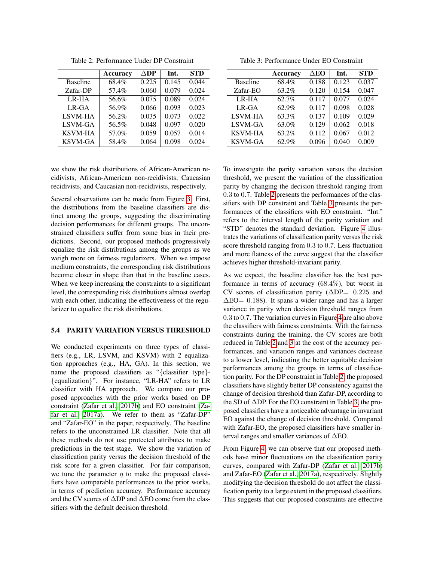|                 | Accuracy | $\Delta \mathbf{DP}$ | Int.  | <b>STD</b> |
|-----------------|----------|----------------------|-------|------------|
| <b>Baseline</b> | 68.4%    | 0.225                | 0.145 | 0.044      |
| Zafar-DP        | 57.4%    | 0.060                | 0.079 | 0.024      |
| LR-HA           | 56.6%    | 0.075                | 0.089 | 0.024      |
| $LR-GA$         | 56.9%    | 0.066                | 0.093 | 0.023      |
| LSVM-HA         | 56.2%    | 0.035                | 0.073 | 0.022      |
| LSVM-GA         | 56.5%    | 0.048                | 0.097 | 0.020      |
| <b>KSVM-HA</b>  | 57.0%    | 0.059                | 0.057 | 0.014      |
| <b>KSVM-GA</b>  | 58.4%    | 0.064                | 0.098 | 0.024      |

<span id="page-7-0"></span>Table 2: Performance Under DP Constraint

we show the risk distributions of African-American recidivists, African-American non-recidivists, Caucasian recidivists, and Caucasian non-recidivists, respectively.

Several observations can be made from Figure [3.](#page-6-1) First, the distributions from the baseline classifiers are distinct among the groups, suggesting the discriminating decision performances for different groups. The unconstrained classifiers suffer from some bias in their predictions. Second, our proposed methods progressively equalize the risk distributions among the groups as we weigh more on fairness regularizers. When we impose medium constraints, the corresponding risk distributions become closer in shape than that in the baseline cases. When we keep increasing the constraints to a significant level, the corresponding risk distributions almost overlap with each other, indicating the effectiveness of the regularizer to equalize the risk distributions.

#### 5.4 PARITY VARIATION VERSUS THRESHOLD

We conducted experiments on three types of classifiers (e.g., LR, LSVM, and KSVM) with 2 equalization approaches (e.g., HA, GA). In this section, we name the proposed classifiers as "{classifier type}-{equalization}". For instance, "LR-HA" refers to LR classifier with HA approach. We compare our proposed approaches with the prior works based on DP constraint [\(Zafar et al., 2017b\)](#page-9-11) and EO constraint [\(Za](#page-9-10)[far et al., 2017a\)](#page-9-10). We refer to them as "Zafar-DP" and "Zafar-EO" in the paper, respectively. The baseline refers to the unconstrained LR classifier. Note that all these methods do not use protected attributes to make predictions in the test stage. We show the variation of classification parity versus the decision threshold of the risk score for a given classifier. For fair comparison, we tune the parameter  $\eta$  to make the proposed classifiers have comparable performances to the prior works, in terms of prediction accuracy. Performance accuracy and the CV scores of ∆DP and ∆EO come from the classifiers with the default decision threshold.

<span id="page-7-1"></span>Table 3: Performance Under EO Constraint

|                 | Accuracy | $\triangle$ EO | Int.  | <b>STD</b> |
|-----------------|----------|----------------|-------|------------|
| <b>Baseline</b> | 68.4%    | 0.188          | 0.123 | 0.037      |
| Zafar-EO        | 63.2%    | 0.120          | 0.154 | 0.047      |
| LR-HA           | 62.7%    | 0.117          | 0.077 | 0.024      |
| $LR-GA$         | 62.9%    | 0.117          | 0.098 | 0.028      |
| LSVM-HA         | 63.3%    | 0.137          | 0.109 | 0.029      |
| LSVM-GA         | 63.0%    | 0.129          | 0.062 | 0.018      |
| <b>KSVM-HA</b>  | 63.2%    | 0.112          | 0.067 | 0.012      |
| <b>KSVM-GA</b>  | 62.9%    | 0.096          | 0.040 | 0.009      |

To investigate the parity variation versus the decision threshold, we present the variation of the classification parity by changing the decision threshold ranging from 0.3 to 0.7. Table [2](#page-7-0) presents the performances of the classifiers with DP constraint and Table [3](#page-7-1) presents the performances of the classifiers with EO constraint. "Int." refers to the interval length of the parity variation and "STD" denotes the standard deviation. Figure [4](#page-8-1) illustrates the variations of classification parity versus the risk score threshold ranging from 0.3 to 0.7. Less fluctuation and more flatness of the curve suggest that the classifier achieves higher threshold-invariant parity.

As we expect, the baseline classifier has the best performance in terms of accuracy (68.4%), but worst in CV scores of classification parity (∆DP= 0.225 and  $\Delta$ EO= 0.188). It spans a wider range and has a larger variance in parity when decision threshold ranges from 0.3 to 0.7. The variation curves in Figure [4](#page-8-1) are also above the classifiers with fairness constraints. With the fairness constraints during the training, the CV scores are both reduced in Table [2](#page-7-0) and [3](#page-7-1) at the cost of the accuracy performances, and variation ranges and variances decrease to a lower level, indicating the better equitable decision performances among the groups in terms of classification parity. For the DP constraint in Table [2,](#page-7-0) the proposed classifiers have slightly better DP consistency against the change of decision threshold than Zafar-DP, according to the SD of ∆DP. For the EO constraint in Table [3,](#page-7-1) the proposed classifiers have a noticeable advantage in invariant EO against the change of decision threshold. Compared with Zafar-EO, the proposed classifiers have smaller interval ranges and smaller variances of ∆EO.

From Figure [4,](#page-8-1) we can observe that our proposed methods have minor fluctuations on the classification parity curves, compared with Zafar-DP [\(Zafar et al., 2017b\)](#page-9-11) and Zafar-EO [\(Zafar et al., 2017a\)](#page-9-10), respectively. Slightly modifying the decision threshold do not affect the classification parity to a large extent in the proposed classifiers. This suggests that our proposed constraints are effective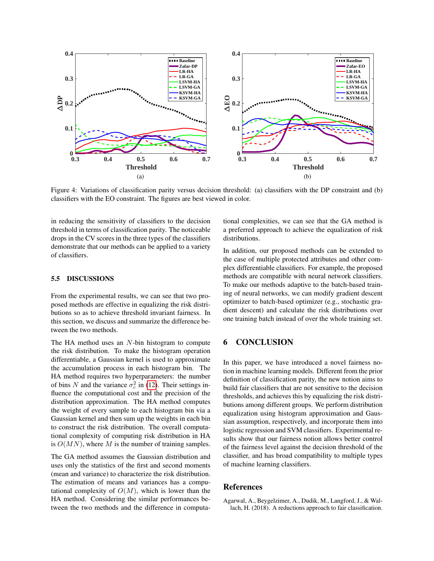

<span id="page-8-1"></span>Figure 4: Variations of classification parity versus decision threshold: (a) classifiers with the DP constraint and (b) classifiers with the EO constraint. The figures are best viewed in color.

in reducing the sensitivity of classifiers to the decision threshold in terms of classification parity. The noticeable drops in the CV scores in the three types of the classifiers demonstrate that our methods can be applied to a variety of classifiers.

### 5.5 DISCUSSIONS

From the experimental results, we can see that two proposed methods are effective in equalizing the risk distributions so as to achieve threshold invariant fairness. In this section, we discuss and summarize the difference between the two methods.

The HA method uses an N-bin histogram to compute the risk distribution. To make the histogram operation differentiable, a Gaussian kernel is used to approximate the accumulation process in each histogram bin. The HA method requires two hyperparameters: the number of bins N and the variance  $\sigma_c^2$  in [\(12\)](#page-3-3). Their settings influence the computational cost and the precision of the distribution approximation. The HA method computes the weight of every sample to each histogram bin via a Gaussian kernel and then sum up the weights in each bin to construct the risk distribution. The overall computational complexity of computing risk distribution in HA is  $O(MN)$ , where M is the number of training samples.

The GA method assumes the Gaussian distribution and uses only the statistics of the first and second moments (mean and variance) to characterize the risk distribution. The estimation of means and variances has a computational complexity of  $O(M)$ , which is lower than the HA method. Considering the similar performances between the two methods and the difference in computational complexities, we can see that the GA method is a preferred approach to achieve the equalization of risk distributions.

In addition, our proposed methods can be extended to the case of multiple protected attributes and other complex differentiable classifiers. For example, the proposed methods are compatible with neural network classifiers. To make our methods adaptive to the batch-based training of neural networks, we can modify gradient descent optimizer to batch-based optimizer (e.g., stochastic gradient descent) and calculate the risk distributions over one training batch instead of over the whole training set.

## 6 CONCLUSION

In this paper, we have introduced a novel fairness notion in machine learning models. Different from the prior definition of classification parity, the new notion aims to build fair classifiers that are not sensitive to the decision thresholds, and achieves this by equalizing the risk distributions among different groups. We perform distribution equalization using histogram approximation and Gaussian assumption, respectively, and incorporate them into logistic regression and SVM classifiers. Experimental results show that our fairness notion allows better control of the fairness level against the decision threshold of the classifier, and has broad compatibility to multiple types of machine learning classifiers.

## References

<span id="page-8-0"></span>Agarwal, A., Beygelzimer, A., Dudik, M., Langford, J., & Wallach, H. (2018). A reductions approach to fair classification.